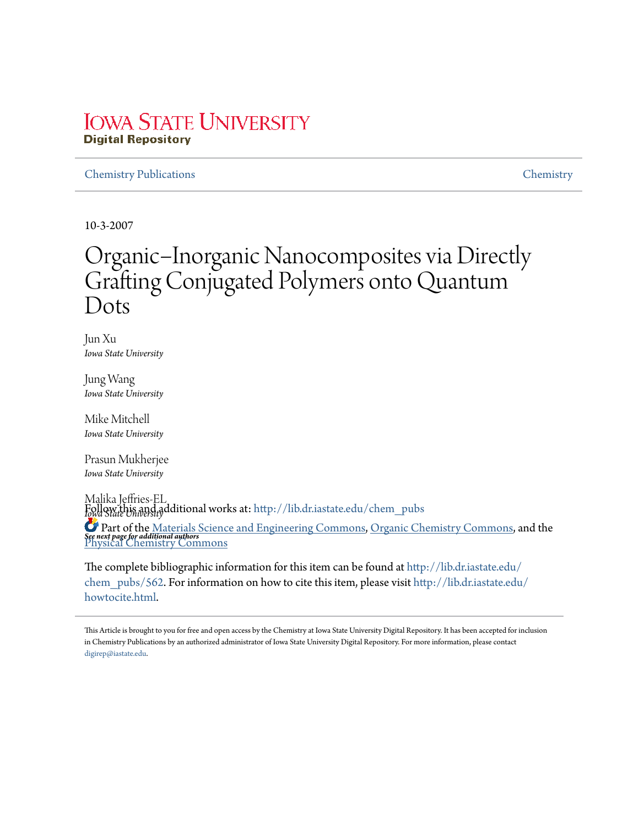### **IOWA STATE UNIVERSITY Digital Repository**

#### Chemistry Publications Chemistry

10-3-2007

# Organic−Inorganic Nanocomposites via Directly Grafting Conjugated Polymers onto Quantum Dots

Jun Xu *Iowa State University*

Jung Wang *Iowa State University*

Mike Mitchell *Iowa State University*

Prasun Mukherjee *Iowa State University*

Malika Jeffries-EL *Iowa State University* Follow this and additional works at: http://lib.dr.iastate.edu/chem\_pubs *See next page for additional authors* Part of the Materials Science and Engineering Commons, Organic Chemistry Commons, and the Physical Chemistry Commons

The complete bibliographic information for this item can be found at http://lib.dr.iastate.edu/ chem\_pubs/562. For information on how to cite this item, please visit http://lib.dr.iastate.edu/ howtocite.html.

This Article is brought to you for free and open access by the Chemistry at Iowa State University Digital Repository. It has been accepted for inclusion in Chemistry Publications by an authorized administrator of Iowa State University Digital Repository. For more information, please contact digirep@iastate.edu.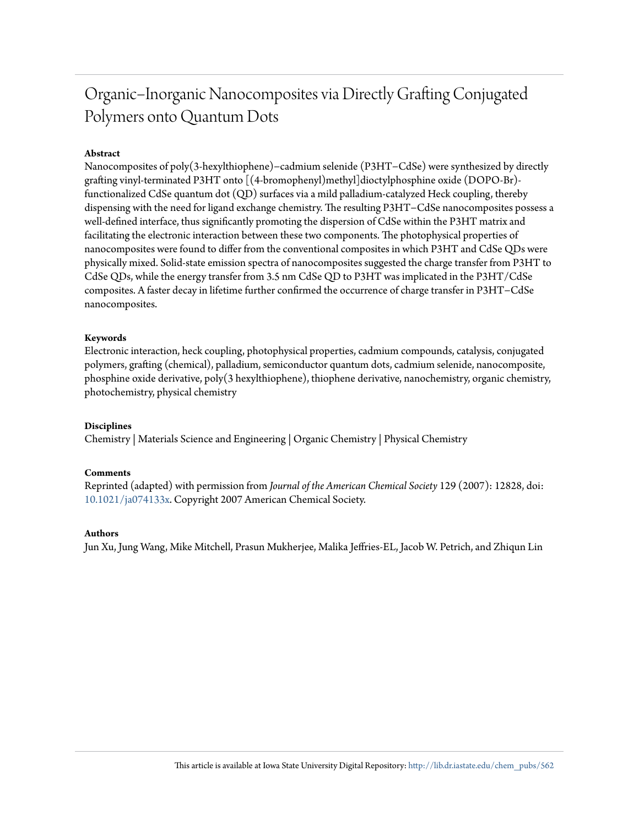## Organic−Inorganic Nanocomposites via Directly Grafting Conjugated Polymers onto Quantum Dots

#### **Abstract**

Nanocomposites of poly(3-hexylthiophene)−cadmium selenide (P3HT−CdSe) were synthesized by directly grafting vinyl-terminated P3HT onto [(4-bromophenyl)methyl]dioctylphosphine oxide (DOPO-Br) functionalized CdSe quantum dot (QD) surfaces via a mild palladium-catalyzed Heck coupling, thereby dispensing with the need for ligand exchange chemistry. The resulting P3HT−CdSe nanocomposites possess a well-defined interface, thus significantly promoting the dispersion of CdSe within the P3HT matrix and facilitating the electronic interaction between these two components. The photophysical properties of nanocomposites were found to differ from the conventional composites in which P3HT and CdSe QDs were physically mixed. Solid-state emission spectra of nanocomposites suggested the charge transfer from P3HT to CdSe QDs, while the energy transfer from 3.5 nm CdSe QD to P3HT was implicated in the P3HT/CdSe composites. A faster decay in lifetime further confirmed the occurrence of charge transfer in P3HT−CdSe nanocomposites.

#### **Keywords**

Electronic interaction, heck coupling, photophysical properties, cadmium compounds, catalysis, conjugated polymers, grafting (chemical), palladium, semiconductor quantum dots, cadmium selenide, nanocomposite, phosphine oxide derivative, poly(3 hexylthiophene), thiophene derivative, nanochemistry, organic chemistry, photochemistry, physical chemistry

#### **Disciplines**

Chemistry | Materials Science and Engineering | Organic Chemistry | Physical Chemistry

#### **Comments**

Reprinted (adapted) with permission from *Journal of the American Chemical Society* 129 (2007): 12828, doi: 10.1021/ja074133x. Copyright 2007 American Chemical Society.

#### **Authors**

Jun Xu, Jung Wang, Mike Mitchell, Prasun Mukherjee, Malika Jeffries-EL, Jacob W. Petrich, and Zhiqun Lin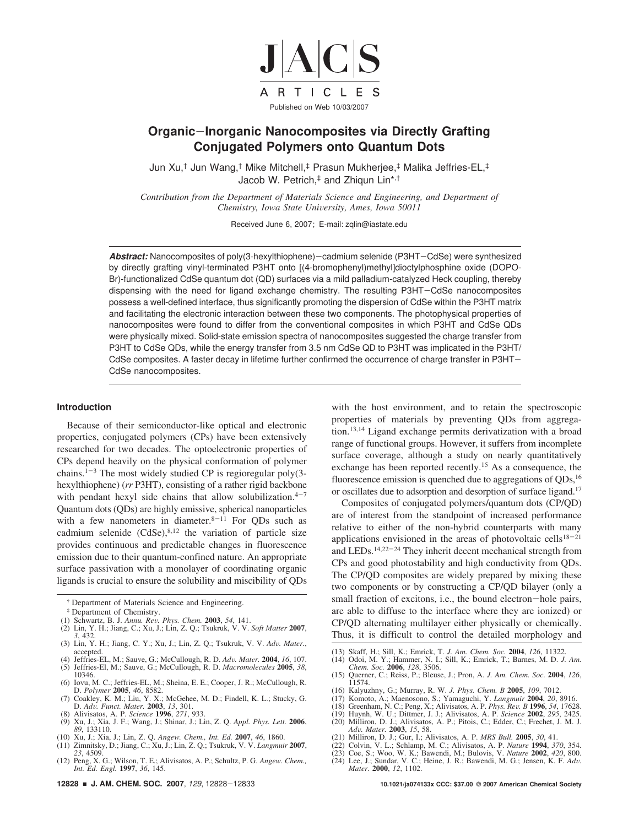

#### **Organic**-**Inorganic Nanocomposites via Directly Grafting Conjugated Polymers onto Quantum Dots**

Jun Xu,† Jun Wang,† Mike Mitchell,‡ Prasun Mukherjee,‡ Malika Jeffries-EL,‡ Jacob W. Petrich,‡ and Zhiqun Lin\*,†

*Contribution from the Department of Materials Science and Engineering, and Department of Chemistry, Iowa State University, Ames, Iowa 50011* 

Received June 6, 2007; E-mail: zqlin@iastate.edu

Abstract: Nanocomposites of poly(3-hexylthiophene)-cadmium selenide (P3HT-CdSe) were synthesized by directly grafting vinyl-terminated P3HT onto [(4-bromophenyl)methyl]dioctylphosphine oxide (DOPO-Br)-functionalized CdSe quantum dot (QD) surfaces via a mild palladium-catalyzed Heck coupling, thereby dispensing with the need for ligand exchange chemistry. The resulting P3HT-CdSe nanocomposites possess a well-defined interface, thus significantly promoting the dispersion of CdSe within the P3HT matrix and facilitating the electronic interaction between these two components. The photophysical properties of nanocomposites were found to differ from the conventional composites in which P3HT and CdSe QDs were physically mixed. Solid-state emission spectra of nanocomposites suggested the charge transfer from P3HT to CdSe QDs, while the energy transfer from 3.5 nm CdSe QD to P3HT was implicated in the P3HT/ CdSe composites. A faster decay in lifetime further confirmed the occurrence of charge transfer in P3HT-CdSe nanocomposites.

#### **Introduction**

Because of their semiconductor-like optical and electronic properties, conjugated polymers (CPs) have been extensively researched for two decades. The optoelectronic properties of CPs depend heavily on the physical conformation of polymer chains.<sup>1-3</sup> The most widely studied CP is regioregular poly(3hexylthiophene) (*rr* P3HT), consisting of a rather rigid backbone with pendant hexyl side chains that allow solubilization. $4-7$ Quantum dots (QDs) are highly emissive, spherical nanoparticles with a few nanometers in diameter. $8-11$  For QDs such as cadmium selenide  $(CdSe)^{8,12}$  the variation of particle size provides continuous and predictable changes in fluorescence emission due to their quantum-confined nature. An appropriate surface passivation with a monolayer of coordinating organic ligands is crucial to ensure the solubility and miscibility of QDs

- ‡ Department of Chemistry. (1) Schwartz, B. J. *Annu. Re*V*. Phys. Chem.* **2003**, *54*, 141.
- (2) Lin, Y. H.; Jiang, C.; Xu, J.; Lin, Z. Q.; Tsukruk, V. V. *Soft Matter* **2007**, *3*, 432.
- (3) Lin, Y. H.; Jiang, C. Y.; Xu, J.; Lin, Z. Q.; Tsukruk, V. V. *Ad*V*. Mater.*, accepted. (4) Jeffries-EL, M.; Sauve, G.; McCullough, R. D. *Ad*V*. Mater.* **2004**, *16*, 107.
- (5) Jeffries-El, M.; Sauve, G.; McCullough, R. D. *Macromolecules* **2005**, *38*,
- 10346. (6) Iovu, M. C.; Jeffries-EL, M.; Sheina, E. E.; Cooper, J. R.; McCullough, R. D. *Polymer* **2005**, *46*, 8582.
- (7) Coakley, K. M.; Liu, Y. X.; McGehee, M. D.; Findell, K. L.; Stucky, G. D. *Ad*V*. Funct. Mater.* **2003**, *13*, 301. (8) Alivisatos, A. P. *Science* **1996**, *271*, 933.
- 
- (9) Xu, J.; Xia, J. F.; Wang, J.; Shinar, J.; Lin, Z. Q. *Appl. Phys. Lett.* **2006**, *89*, 133110.
- (10) Xu, J.; Xia, J.; Lin, Z. Q. *Angew. Chem., Int. Ed.* **2007**, *46*, 1860. (11) Zimnitsky, D.; Jiang, C.; Xu, J.; Lin, Z. Q.; Tsukruk, V. V. *Langmuir* **2007**, *23*, 4509.
- (12) Peng, X. G.; Wilson, T. E.; Alivisatos, A. P.; Schultz, P. G. *Angew. Chem., Int. Ed. Engl.* **1997**, *36*, 145.

with the host environment, and to retain the spectroscopic properties of materials by preventing QDs from aggregation.13,14 Ligand exchange permits derivatization with a broad range of functional groups. However, it suffers from incomplete surface coverage, although a study on nearly quantitatively exchange has been reported recently.<sup>15</sup> As a consequence, the fluorescence emission is quenched due to aggregations of  $QDs$ ,  $^{16}$ or oscillates due to adsorption and desorption of surface ligand.<sup>17</sup>

Composites of conjugated polymers/quantum dots (CP/QD) are of interest from the standpoint of increased performance relative to either of the non-hybrid counterparts with many applications envisioned in the areas of photovoltaic cells $18-21$ and LEDs.<sup>14,22-24</sup> They inherit decent mechanical strength from CPs and good photostability and high conductivity from QDs. The CP/QD composites are widely prepared by mixing these two components or by constructing a CP/QD bilayer (only a small fraction of excitons, i.e., the bound electron-hole pairs, are able to diffuse to the interface where they are ionized) or CP/QD alternating multilayer either physically or chemically. Thus, it is difficult to control the detailed morphology and

- 
- (13) Skaff, H.; Sill, K.; Emrick, T. J. Am. Chem. Soc. **2004**, 126, 11322. (14) Odoi, M. Y.; Hammer, N. I.; Sill, K.; Emrick, T.; Barnes, M. D. J. Am. Chem. Soc. **2006**, 128, 3506.
- (15) Querner, C.; Reiss, P.; Bleuse, J.; Pron, A. *J. Am. Chem. Soc.* **2004**, *126*, 11574.
- (16) Kalyuzhny, G.; Murray, R. W. *J. Phys. Chem. B* **2005**, *109*, 7012.
- 
- (17) Komoto, A.; Maenosono, S.; Yamaguchi, Y. *Langmuir* **2004**, 20, 8916. (18) Greenham, N. C.; Peng, X.; Alivisatos, A. P. Phys. Rev. B 1996, 54, 17628. (19) Huynh, W. U.; Dittmer, J. J.; Alivisatos, A. P. Science **2002**
- (20) Milliron, D. J.; Alivisatos, A. P.; Pitois, C.; Edder, C.; Frechet, J. M. J.
- *Ad*V*. Mater.* **2003**, *15*, 58.
- (21) Milliron, D. J.; Gur, I.; Alivisatos, A. P. *MRS Bull.* **2005**, *30*, 41.
- 
- 
- (22) Colvin, V. L.; Schlamp, M. C.; Alivisatos, A. P. *Nature* **1994**, 370, 354. (23) Coe, S.; Woo, W. K.; Bawendi, M.; Bulovis, V. *Nature* **2002**, 420, 800. (24) Lee, J.; Sundar, V. C.; Heine, J. R.; Bawendi, M. G.; Jens

<sup>†</sup> Department of Materials Science and Engineering.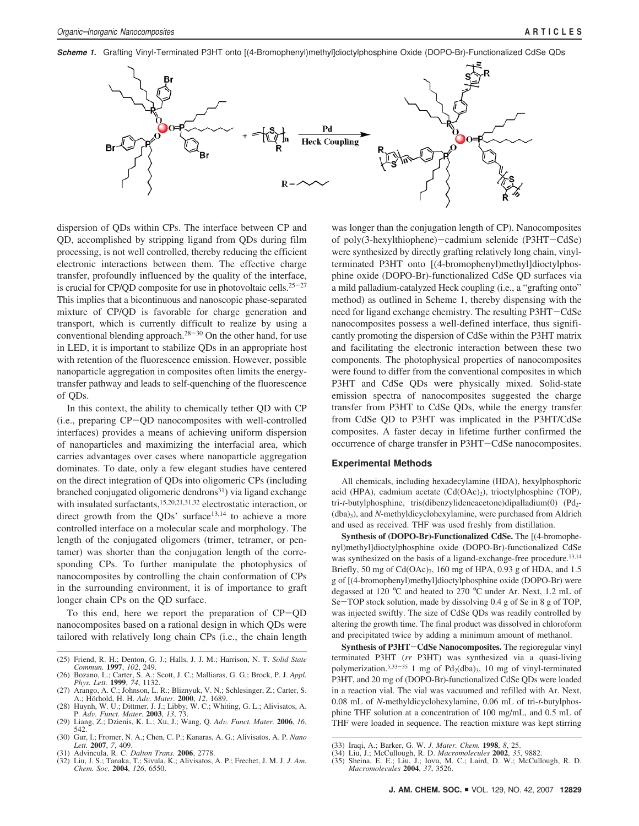**Scheme 1.** Grafting Vinyl-Terminated P3HT onto [(4-Bromophenyl)methyl]dioctylphosphine Oxide (DOPO-Br)-Functionalized CdSe QDs



dispersion of QDs within CPs. The interface between CP and QD, accomplished by stripping ligand from QDs during film processing, is not well controlled, thereby reducing the efficient electronic interactions between them. The effective charge transfer, profoundly influenced by the quality of the interface, is crucial for CP/QD composite for use in photovoltaic cells.<sup>25-27</sup> This implies that a bicontinuous and nanoscopic phase-separated mixture of CP/QD is favorable for charge generation and transport, which is currently difficult to realize by using a conventional blending approach.<sup>28-30</sup> On the other hand, for use in LED, it is important to stabilize QDs in an appropriate host with retention of the fluorescence emission. However, possible nanoparticle aggregation in composites often limits the energytransfer pathway and leads to self-quenching of the fluorescence of QDs.

In this context, the ability to chemically tether QD with CP (i.e., preparing CP-QD nanocomposites with well-controlled interfaces) provides a means of achieving uniform dispersion of nanoparticles and maximizing the interfacial area, which carries advantages over cases where nanoparticle aggregation dominates. To date, only a few elegant studies have centered on the direct integration of QDs into oligomeric CPs (including branched conjugated oligomeric dendrons<sup>31</sup>) via ligand exchange with insulated surfactants,<sup>15,20,21,31,32</sup> electrostatic interaction, or direct growth from the QDs' surface<sup>13,14</sup> to achieve a more controlled interface on a molecular scale and morphology. The length of the conjugated oligomers (trimer, tetramer, or pentamer) was shorter than the conjugation length of the corresponding CPs. To further manipulate the photophysics of nanocomposites by controlling the chain conformation of CPs in the surrounding environment, it is of importance to graft longer chain CPs on the QD surface.

To this end, here we report the preparation of CP-QD nanocomposites based on a rational design in which QDs were tailored with relatively long chain CPs (i.e., the chain length

was longer than the conjugation length of CP). Nanocomposites of poly(3-hexylthiophene)-cadmium selenide (P3HT-CdSe) were synthesized by directly grafting relatively long chain, vinylterminated P3HT onto [(4-bromophenyl)methyl]dioctylphosphine oxide (DOPO-Br)-functionalized CdSe QD surfaces via a mild palladium-catalyzed Heck coupling (i.e., a "grafting onto" method) as outlined in Scheme 1, thereby dispensing with the need for ligand exchange chemistry. The resulting P3HT-CdSe nanocomposites possess a well-defined interface, thus significantly promoting the dispersion of CdSe within the P3HT matrix and facilitating the electronic interaction between these two components. The photophysical properties of nanocomposites were found to differ from the conventional composites in which P3HT and CdSe QDs were physically mixed. Solid-state emission spectra of nanocomposites suggested the charge transfer from P3HT to CdSe QDs, while the energy transfer from CdSe QD to P3HT was implicated in the P3HT/CdSe composites. A faster decay in lifetime further confirmed the occurrence of charge transfer in P3HT-CdSe nanocomposites.

#### **Experimental Methods**

All chemicals, including hexadecylamine (HDA), hexylphosphoric acid (HPA), cadmium acetate (Cd(OAc)2), trioctylphosphine (TOP), tri-*t*-butylphosphine, tris(dibenzylideneacetone)dipalladium(0) (Pd2- (dba)3), and *N*-methyldicyclohexylamine, were purchased from Aldrich and used as received. THF was used freshly from distillation.

**Synthesis of (DOPO-Br)-Functionalized CdSe.** The [(4-bromophenyl)methyl]dioctylphosphine oxide (DOPO-Br)-functionalized CdSe was synthesized on the basis of a ligand-exchange-free procedure.<sup>13,14</sup> Briefly, 50 mg of  $Cd(OAc)_2$ , 160 mg of HPA, 0.93 g of HDA, and 1.5 g of [(4-bromophenyl)methyl]dioctylphosphine oxide (DOPO-Br) were degassed at 120 °C and heated to 270 °C under Ar. Next, 1.2 mL of Se-TOP stock solution, made by dissolving 0.4 g of Se in 8 g of TOP, was injected swiftly. The size of CdSe QDs was readily controlled by altering the growth time. The final product was dissolved in chloroform and precipitated twice by adding a minimum amount of methanol.

**Synthesis of P3HT**-**CdSe Nanocomposites.** The regioregular vinyl terminated P3HT (*rr* P3HT) was synthesized via a quasi-living polymerization.<sup>5,33-35</sup> 1 mg of Pd<sub>2</sub>(dba)<sub>3</sub>, 10 mg of vinyl-terminated P3HT, and 20 mg of (DOPO-Br)-functionalized CdSe QDs were loaded in a reaction vial. The vial was vacuumed and refilled with Ar. Next, 0.08 mL of *N*-methyldicyclohexylamine, 0.06 mL of tri-*t*-butylphosphine THF solution at a concentration of 100 mg/mL, and 0.5 mL of THF were loaded in sequence. The reaction mixture was kept stirring

<sup>(25)</sup> Friend, R. H.; Denton, G. J.; Halls, J. J. M.; Harrison, N. T. *Solid State Commun.* **1997**, *102*, 249.

<sup>(26)</sup> Bozano, L.; Carter, S. A.; Scott, J. C.; Malliaras, G. G.; Brock, P. J. *Appl. Phys. Lett.* **1999**, *74*, 1132. (27) Arango, A. C.; Johnson, L. R.; Bliznyuk, V. N.; Schlesinger, Z.; Carter, S.

A.; Ho¨rhold, H. H. *Ad*V*. Mater.* **2000**, *12*, 1689.

<sup>(28)</sup> Huynh, W. U.; Dittmer, J. J.; Libby, W. C.; Whiting, G. L.; Alivisatos, A. P. *Ad*V*. Funct. Mater.* **2003**, *13*, 73. (29) Liang, Z.; Dzienis, K. L.; Xu, J.; Wang, Q. *Ad*V*. Funct. Mater.* **2006**, *16*,

<sup>542.</sup> (30) Gur, I.; Fromer, N. A.; Chen, C. P.; Kanaras, A. G.; Alivisatos, A. P. *Nano Lett.* **2007**, *7*, 409.

<sup>(31)</sup> Advincula, R. C. *Dalton Trans.* **2006**, 2778.

<sup>(32)</sup> Liu, J. S.; Tanaka, T.; Sivula, K.; Alivisatos, A. P.; Frechet, J. M. J. *J. Am. Chem. Soc.* **2004**, *126*, 6550.

<sup>(33)</sup> Iraqi, A.; Barker, G. W. *J. Mater. Chem.* **1998**, *8*, 25.

<sup>(34)</sup> Liu, J.; McCullough, R. D. *Macromolecules* **2002**, *35*, 9882.

<sup>(35)</sup> Sheina, E. E.; Liu, J.; Iovu, M. C.; Laird, D. W.; McCullough, R. D. *Macromolecules* **2004**, *37*, 3526.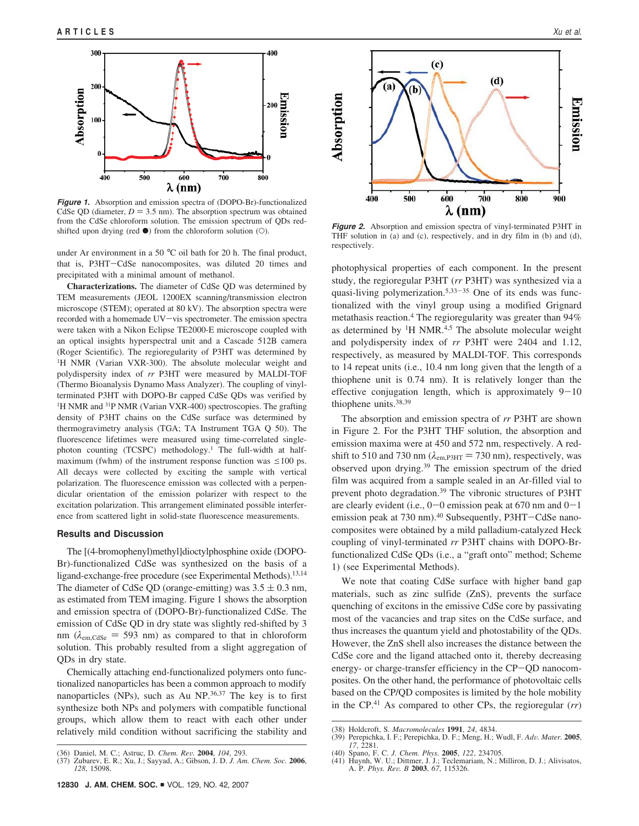

**Figure 1.** Absorption and emission spectra of (DOPO-Br)-functionalized CdSe QD (diameter,  $D = 3.5$  nm). The absorption spectrum was obtained from the CdSe chloroform solution. The emission spectrum of QDs redshifted upon drying (red <sup>b</sup>) from the chloroform solution (O). **Figure 2.** Absorption and emission spectra of vinyl-terminated P3HT in

under Ar environment in a 50 °C oil bath for 20 h. The final product, that is, P3HT-CdSe nanocomposites, was diluted 20 times and precipitated with a minimal amount of methanol.

**Characterizations.** The diameter of CdSe QD was determined by TEM measurements (JEOL 1200EX scanning/transmission electron microscope (STEM); operated at 80 kV). The absorption spectra were recorded with a homemade UV-vis spectrometer. The emission spectra were taken with a Nikon Eclipse TE2000-E microscope coupled with an optical insights hyperspectral unit and a Cascade 512B camera (Roger Scientific). The regioregularity of P3HT was determined by <sup>1</sup>H NMR (Varian VXR-300). The absolute molecular weight and polydispersity index of *rr* P3HT were measured by MALDI-TOF (Thermo Bioanalysis Dynamo Mass Analyzer). The coupling of vinylterminated P3HT with DOPO-Br capped CdSe QDs was verified by <sup>1</sup>H NMR and <sup>31</sup>P NMR (Varian VXR-400) spectroscopies. The grafting density of P3HT chains on the CdSe surface was determined by thermogravimetry analysis (TGA; TA Instrument TGA Q 50). The fluorescence lifetimes were measured using time-correlated singlephoton counting (TCSPC) methodology.<sup>1</sup> The full-width at halfmaximum (fwhm) of the instrument response function was  $\leq 100$  ps. All decays were collected by exciting the sample with vertical polarization. The fluorescence emission was collected with a perpendicular orientation of the emission polarizer with respect to the excitation polarization. This arrangement eliminated possible interference from scattered light in solid-state fluorescence measurements.

#### **Results and Discussion**

The [(4-bromophenyl)methyl]dioctylphosphine oxide (DOPO-Br)-functionalized CdSe was synthesized on the basis of a ligand-exchange-free procedure (see Experimental Methods).<sup>13,14</sup> The diameter of CdSe QD (orange-emitting) was  $3.5 \pm 0.3$  nm, as estimated from TEM imaging. Figure 1 shows the absorption and emission spectra of (DOPO-Br)-functionalized CdSe. The emission of CdSe QD in dry state was slightly red-shifted by 3 nm ( $\lambda_{em,CdSe} = 593$  nm) as compared to that in chloroform solution. This probably resulted from a slight aggregation of QDs in dry state.

Chemically attaching end-functionalized polymers onto functionalized nanoparticles has been a common approach to modify nanoparticles (NPs), such as Au NP. $36,37$  The key is to first synthesize both NPs and polymers with compatible functional groups, which allow them to react with each other under relatively mild condition without sacrificing the stability and



THF solution in (a) and (c), respectively, and in dry film in (b) and (d), respectively.

photophysical properties of each component. In the present study, the regioregular P3HT (*rr* P3HT) was synthesized via a quasi-living polymerization.<sup>5,33-35</sup> One of its ends was functionalized with the vinyl group using a modified Grignard metathasis reaction.<sup>4</sup> The regioregularity was greater than 94% as determined by  ${}^{1}H$  NMR.<sup>4,5</sup> The absolute molecular weight and polydispersity index of *rr* P3HT were 2404 and 1.12, respectively, as measured by MALDI-TOF. This corresponds to 14 repeat units (i.e., 10.4 nm long given that the length of a thiophene unit is 0.74 nm). It is relatively longer than the effective conjugation length, which is approximately  $9-10$ thiophene units.38,39

The absorption and emission spectra of *rr* P3HT are shown in Figure 2. For the P3HT THF solution, the absorption and emission maxima were at 450 and 572 nm, respectively. A redshift to 510 and 730 nm ( $\lambda_{em,P3HT}$  = 730 nm), respectively, was observed upon drying.<sup>39</sup> The emission spectrum of the dried film was acquired from a sample sealed in an Ar-filled vial to prevent photo degradation.<sup>39</sup> The vibronic structures of P3HT are clearly evident (i.e.,  $0-0$  emission peak at 670 nm and  $0-1$ emission peak at 730 nm).<sup>40</sup> Subsequently, P3HT-CdSe nanocomposites were obtained by a mild palladium-catalyzed Heck coupling of vinyl-terminated *rr* P3HT chains with DOPO-Brfunctionalized CdSe QDs (i.e., a "graft onto" method; Scheme 1) (see Experimental Methods).

We note that coating CdSe surface with higher band gap materials, such as zinc sulfide (ZnS), prevents the surface quenching of excitons in the emissive CdSe core by passivating most of the vacancies and trap sites on the CdSe surface, and thus increases the quantum yield and photostability of the QDs. However, the ZnS shell also increases the distance between the CdSe core and the ligand attached onto it, thereby decreasing energy- or charge-transfer efficiency in the CP-QD nanocomposites. On the other hand, the performance of photovoltaic cells based on the CP/QD composites is limited by the hole mobility in the CP.<sup>41</sup> As compared to other CPs, the regioregular (*rr*)

(39) Perepichka, I. F.; Perepichka, D. F.; Meng, H.; Wudl, F. *Ad*V*. Mater.* **2005**, *17*, 2281.

<sup>(36)</sup> Daniel, M. C.; Astruc, D. *Chem. Re*V*.* **2004**, *104*, 293.

<sup>(37)</sup> Zubarev, E. R.; Xu, J.; Sayyad, A.; Gibson, J. D. *J. Am. Chem. Soc.* **2006**, *128*, 15098.

<sup>(38)</sup> Holdcroft, S. *Macromolecules* **1991**, *24*, 4834.

<sup>(40)</sup> Spano, F. C. *J. Chem. Phys.* **2005**, *122*, 234705. (41) Huynh, W. U.; Dittmer, J. J.; Teclemariam, N.; Milliron, D. J.; Alivisatos, A. P. *Phys. Re*V*. B* **2003**, *67*, 115326.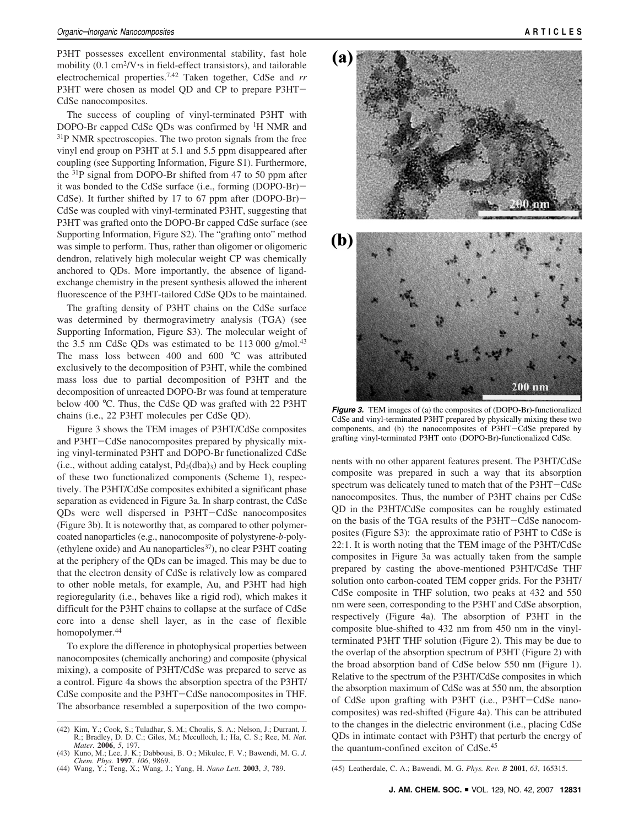P3HT possesses excellent environmental stability, fast hole mobility (0.1 cm<sup>2</sup>/V<sup>o</sup>s in field-effect transistors), and tailorable electrochemical properties.7,42 Taken together, CdSe and *rr* P3HT were chosen as model QD and CP to prepare P3HT-CdSe nanocomposites.

The success of coupling of vinyl-terminated P3HT with DOPO-Br capped CdSe QDs was confirmed by <sup>1</sup>H NMR and <sup>31</sup>P NMR spectroscopies. The two proton signals from the free vinyl end group on P3HT at 5.1 and 5.5 ppm disappeared after coupling (see Supporting Information, Figure S1). Furthermore, the <sup>31</sup>P signal from DOPO-Br shifted from 47 to 50 ppm after it was bonded to the CdSe surface (i.e., forming (DOPO-Br)- CdSe). It further shifted by 17 to 67 ppm after (DOPO-Br)-CdSe was coupled with vinyl-terminated P3HT, suggesting that P3HT was grafted onto the DOPO-Br capped CdSe surface (see Supporting Information, Figure S2). The "grafting onto" method was simple to perform. Thus, rather than oligomer or oligomeric dendron, relatively high molecular weight CP was chemically anchored to QDs. More importantly, the absence of ligandexchange chemistry in the present synthesis allowed the inherent fluorescence of the P3HT-tailored CdSe QDs to be maintained.

The grafting density of P3HT chains on the CdSe surface was determined by thermogravimetry analysis (TGA) (see Supporting Information, Figure S3). The molecular weight of the 3.5 nm CdSe QDs was estimated to be  $113\,000$  g/mol.<sup>43</sup> The mass loss between 400 and 600 °C was attributed exclusively to the decomposition of P3HT, while the combined mass loss due to partial decomposition of P3HT and the decomposition of unreacted DOPO-Br was found at temperature below 400 °C. Thus, the CdSe QD was grafted with 22 P3HT chains (i.e., 22 P3HT molecules per CdSe QD).

Figure 3 shows the TEM images of P3HT/CdSe composites and P3HT-CdSe nanocomposites prepared by physically mixing vinyl-terminated P3HT and DOPO-Br functionalized CdSe (i.e., without adding catalyst,  $Pd_2(dba)$ ) and by Heck coupling of these two functionalized components (Scheme 1), respectively. The P3HT/CdSe composites exhibited a significant phase separation as evidenced in Figure 3a. In sharp contrast, the CdSe QDs were well dispersed in P3HT-CdSe nanocomposites (Figure 3b). It is noteworthy that, as compared to other polymercoated nanoparticles (e.g., nanocomposite of polystyrene-*b*-poly- (ethylene oxide) and Au nanoparticles $37$ ), no clear P3HT coating at the periphery of the QDs can be imaged. This may be due to that the electron density of CdSe is relatively low as compared to other noble metals, for example, Au, and P3HT had high regioregularity (i.e., behaves like a rigid rod), which makes it difficult for the P3HT chains to collapse at the surface of CdSe core into a dense shell layer, as in the case of flexible homopolymer.<sup>44</sup>

To explore the difference in photophysical properties between nanocomposites (chemically anchoring) and composite (physical mixing), a composite of P3HT/CdSe was prepared to serve as a control. Figure 4a shows the absorption spectra of the P3HT/ CdSe composite and the P3HT-CdSe nanocomposites in THF. The absorbance resembled a superposition of the two compo-



**Figure 3.** TEM images of (a) the composites of (DOPO-Br)-functionalized CdSe and vinyl-terminated P3HT prepared by physically mixing these two components, and (b) the nanocomposites of P3HT-CdSe prepared by grafting vinyl-terminated P3HT onto (DOPO-Br)-functionalized CdSe.

nents with no other apparent features present. The P3HT/CdSe composite was prepared in such a way that its absorption spectrum was delicately tuned to match that of the P3HT-CdSe nanocomposites. Thus, the number of P3HT chains per CdSe QD in the P3HT/CdSe composites can be roughly estimated on the basis of the TGA results of the P3HT-CdSe nanocomposites (Figure S3): the approximate ratio of P3HT to CdSe is 22:1. It is worth noting that the TEM image of the P3HT/CdSe composites in Figure 3a was actually taken from the sample prepared by casting the above-mentioned P3HT/CdSe THF solution onto carbon-coated TEM copper grids. For the P3HT/ CdSe composite in THF solution, two peaks at 432 and 550 nm were seen, corresponding to the P3HT and CdSe absorption, respectively (Figure 4a). The absorption of P3HT in the composite blue-shifted to 432 nm from 450 nm in the vinylterminated P3HT THF solution (Figure 2). This may be due to the overlap of the absorption spectrum of P3HT (Figure 2) with the broad absorption band of CdSe below 550 nm (Figure 1). Relative to the spectrum of the P3HT/CdSe composites in which the absorption maximum of CdSe was at 550 nm, the absorption of CdSe upon grafting with P3HT (i.e., P3HT-CdSe nanocomposites) was red-shifted (Figure 4a). This can be attributed to the changes in the dielectric environment (i.e., placing CdSe QDs in intimate contact with P3HT) that perturb the energy of the quantum-confined exciton of CdSe.<sup>45</sup>

<sup>(42)</sup> Kim, Y.; Cook, S.; Tuladhar, S. M.; Choulis, S. A.; Nelson, J.; Durrant, J. R.; Bradley, D. D. C.; Giles, M.; Mcculloch, I.; Ha, C. S.; Ree, M. *Nat. Mater.* **2006**, *5*, 197.

<sup>(43)</sup> Kuno, M.; Lee, J. K.; Dabbousi, B. O.; Mikulec, F. V.; Bawendi, M. G. *J.* Chem. Phys. 1997, 106, 9869.<br>
(44) Wang, Y.; Teng, X.; Wang, J.; Yang, H. Nano Lett. 2003, 3, 789. (45) Leatherdale, C. A.; Bawendi, M. G. Phys. Rev. B 2001, 63, 165315.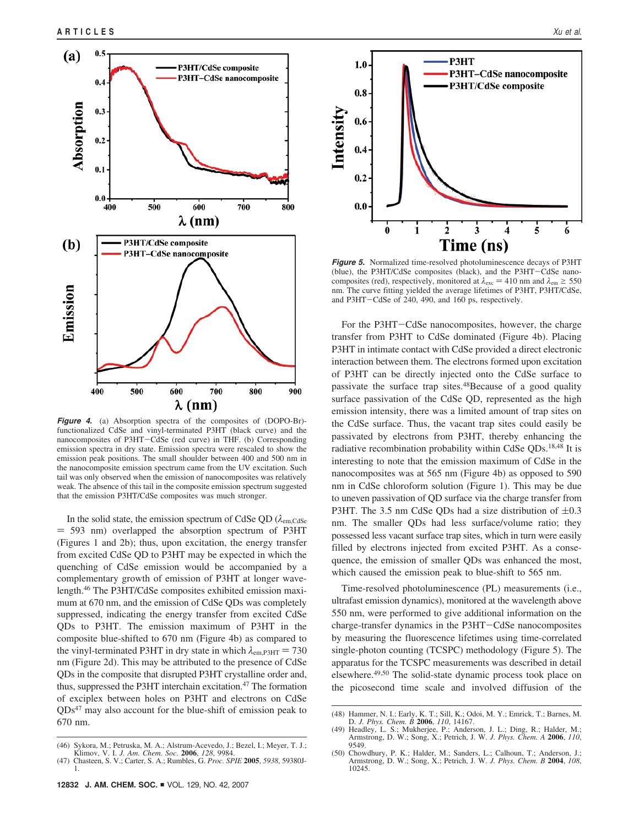

**Figure 4.** (a) Absorption spectra of the composites of (DOPO-Br) functionalized CdSe and vinyl-terminated P3HT (black curve) and the nanocomposites of P3HT-CdSe (red curve) in THF. (b) Corresponding emission spectra in dry state. Emission spectra were rescaled to show the emission peak positions. The small shoulder between 400 and 500 nm in the nanocomposite emission spectrum came from the UV excitation. Such tail was only observed when the emission of nanocomposites was relatively weak. The absence of this tail in the composite emission spectrum suggested that the emission P3HT/CdSe composites was much stronger.

In the solid state, the emission spectrum of CdSe QD ( $\lambda_{\text{em.CdSe}}$ ) ) 593 nm) overlapped the absorption spectrum of P3HT (Figures 1 and 2b); thus, upon excitation, the energy transfer from excited CdSe QD to P3HT may be expected in which the quenching of CdSe emission would be accompanied by a complementary growth of emission of P3HT at longer wavelength.<sup>46</sup> The P3HT/CdSe composites exhibited emission maximum at 670 nm, and the emission of CdSe QDs was completely suppressed, indicating the energy transfer from excited CdSe QDs to P3HT. The emission maximum of P3HT in the composite blue-shifted to 670 nm (Figure 4b) as compared to the vinyl-terminated P3HT in dry state in which  $\lambda_{em,P3HT} = 730$ nm (Figure 2d). This may be attributed to the presence of CdSe QDs in the composite that disrupted P3HT crystalline order and, thus, suppressed the P3HT interchain excitation.<sup>47</sup> The formation of exciplex between holes on P3HT and electrons on CdSe QDs<sup>47</sup> may also account for the blue-shift of emission peak to 670 nm.



**Figure 5.** Normalized time-resolved photoluminescence decays of P3HT (blue), the P3HT/CdSe composites (black), and the P3HT-CdSe nanocomposites (red), respectively, monitored at  $\lambda_{\text{exc}} = 410$  nm and  $\lambda_{\text{em}} \ge 550$ nm. The curve fitting yielded the average lifetimes of P3HT, P3HT/CdSe, and P3HT-CdSe of 240, 490, and 160 ps, respectively.

For the P3HT-CdSe nanocomposites, however, the charge transfer from P3HT to CdSe dominated (Figure 4b). Placing P3HT in intimate contact with CdSe provided a direct electronic interaction between them. The electrons formed upon excitation of P3HT can be directly injected onto the CdSe surface to passivate the surface trap sites.<sup>48</sup>Because of a good quality surface passivation of the CdSe QD, represented as the high emission intensity, there was a limited amount of trap sites on the CdSe surface. Thus, the vacant trap sites could easily be passivated by electrons from P3HT, thereby enhancing the radiative recombination probability within CdSe QDs.18,48 It is interesting to note that the emission maximum of CdSe in the nanocomposites was at 565 nm (Figure 4b) as opposed to 590 nm in CdSe chloroform solution (Figure 1). This may be due to uneven passivation of QD surface via the charge transfer from P3HT. The 3.5 nm CdSe QDs had a size distribution of  $\pm 0.3$ nm. The smaller QDs had less surface/volume ratio; they possessed less vacant surface trap sites, which in turn were easily filled by electrons injected from excited P3HT. As a consequence, the emission of smaller QDs was enhanced the most, which caused the emission peak to blue-shift to 565 nm.

Time-resolved photoluminescence (PL) measurements (i.e., ultrafast emission dynamics), monitored at the wavelength above 550 nm, were performed to give additional information on the charge-transfer dynamics in the P3HT-CdSe nanocomposites by measuring the fluorescence lifetimes using time-correlated single-photon counting (TCSPC) methodology (Figure 5). The apparatus for the TCSPC measurements was described in detail elsewhere.<sup>49,50</sup> The solid-state dynamic process took place on the picosecond time scale and involved diffusion of the

<sup>(46)</sup> Sykora, M.; Petruska, M. A.; Alstrum-Acevedo, J.; Bezel, I.; Meyer, T. J.; Klimov, V. I. *J. Am. Chem. Soc.* **2006**, *128*, 9984.

<sup>(47)</sup> Chasteen, S. V.; Carter, S. A.; Rumbles, G. *Proc. SPIE* **2005**, *5938*, 59380J-1.

<sup>(48)</sup> Hammer, N. I.; Early, K. T.; Sill, K.; Odoi, M. Y.; Emrick, T.; Barnes, M. D. *J. Phys. Chem. B* **2006**, *110*, 14167.

Headley, L. S.; Mukherjee, P.; Anderson, J. L.; Ding, R.; Halder, M.; Armstrong, D. W.; Song, X.; Petrich, J. W. *J. Phys. Chem. A* **2006**, *110*, 9549.

<sup>(50)</sup> Chowdhury, P. K.; Halder, M.; Sanders, L.; Calhoun, T.; Anderson, J.; Armstrong, D. W.; Song, X.; Petrich, J. W. *J. Phys. Chem. B* **2004**, *108*, 10245.